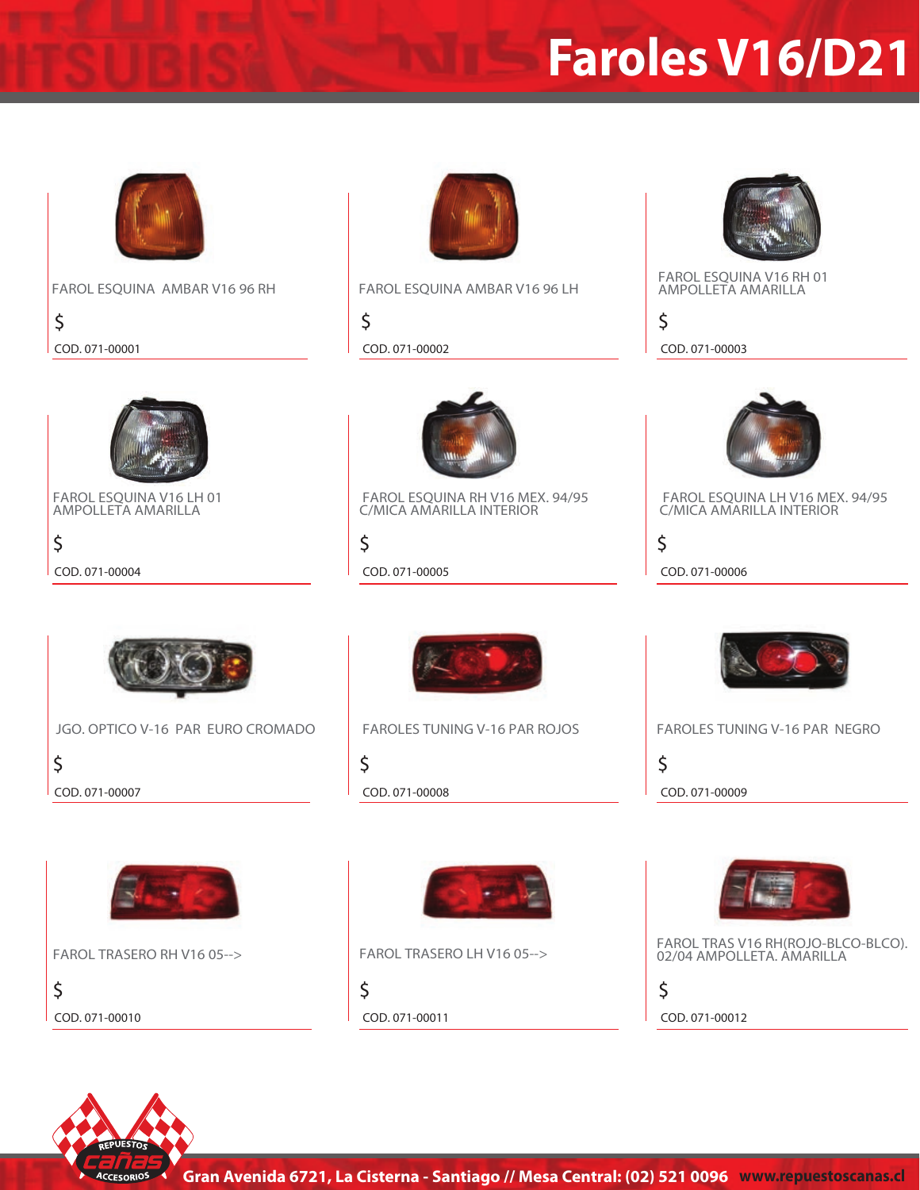## **Faroles V16/D21**



**FAROL ESQUINA AMBAR V16 96 RH FAROL ESQUINA AMBAR V16 96 LH**

**\$ COD. 071-00001 COD. 071-00002 COD. 071-00003**

**FAROL ESQUINA V16 LH 01 AMPOLLETA AMARILLA**

**\$**



**\$**



**FAROL ESQUINA V16 RH 01 AMPOLLETA AMARILLA**

**\$**



 **FAROL ESQUINA LH V16 MEX. 94/95 C/MICA AMARILLA INTERIOR**

**COD. 071-00004 COD. 071-00005 COD. 071-00006**

**\$**



**\$ JGO. OPTICO V-16 PAR EURO CROMADO COD. 071-00007 COD. 071-00008 COD. 071-00009**



 **FAROL ESQUINA RH V16 MEX. 94/95 C/MICA AMARILLA INTERIOR**

**\$**

**\$**



 **FAROLES TUNING V-16 PAR ROJOS FAROLES TUNING V-16 PAR NEGRO**

**\$**



**FAROL TRASERO RH V16 05-->**

**\$ COD. 071-00010 COD. 071-00011 COD. 071-00012**



**\$**



**FAROL TRASERO LH V16 05--> FAROL TRAS V16 RH(ROJO-BLCO-BLCO). 02/04 AMPOLLETA. AMARILLA**

**\$**